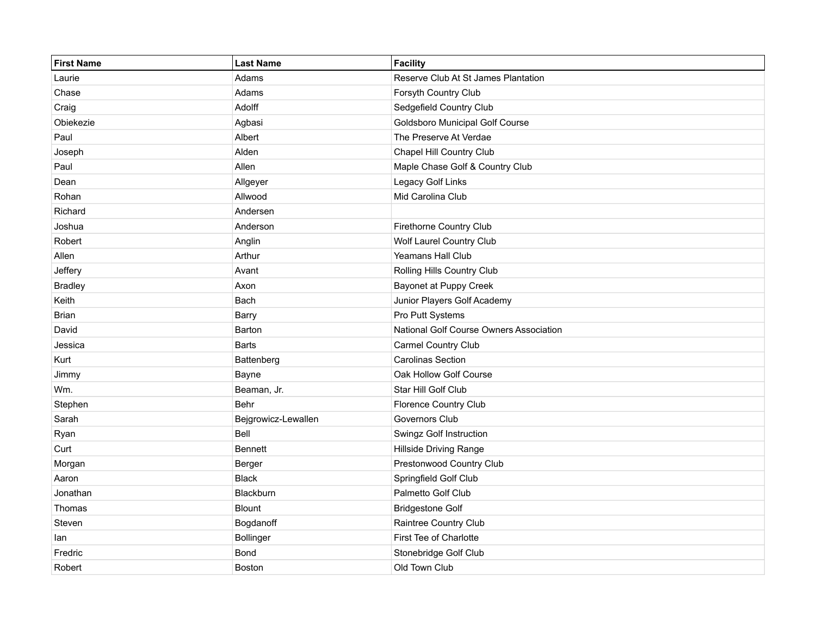| <b>First Name</b> | <b>Last Name</b>    | Facility                                |
|-------------------|---------------------|-----------------------------------------|
| Laurie            | Adams               | Reserve Club At St James Plantation     |
| Chase             | Adams               | Forsyth Country Club                    |
| Craig             | Adolff              | Sedgefield Country Club                 |
| Obiekezie         | Agbasi              | <b>Goldsboro Municipal Golf Course</b>  |
| Paul              | Albert              | The Preserve At Verdae                  |
| Joseph            | Alden               | Chapel Hill Country Club                |
| Paul              | Allen               | Maple Chase Golf & Country Club         |
| Dean              | Allgeyer            | Legacy Golf Links                       |
| Rohan             | Allwood             | Mid Carolina Club                       |
| Richard           | Andersen            |                                         |
| Joshua            | Anderson            | Firethorne Country Club                 |
| Robert            | Anglin              | Wolf Laurel Country Club                |
| Allen             | Arthur              | Yeamans Hall Club                       |
| Jeffery           | Avant               | Rolling Hills Country Club              |
| <b>Bradley</b>    | Axon                | <b>Bayonet at Puppy Creek</b>           |
| Keith             | Bach                | Junior Players Golf Academy             |
| Brian             | Barry               | Pro Putt Systems                        |
| David             | Barton              | National Golf Course Owners Association |
| Jessica           | Barts               | Carmel Country Club                     |
| Kurt              | Battenberg          | <b>Carolinas Section</b>                |
| Jimmy             | Bayne               | Oak Hollow Golf Course                  |
| Wm.               | Beaman, Jr.         | Star Hill Golf Club                     |
| Stephen           | Behr                | Florence Country Club                   |
| Sarah             | Bejgrowicz-Lewallen | <b>Governors Club</b>                   |
| Ryan              | Bell                | Swingz Golf Instruction                 |
| Curt              | <b>Bennett</b>      | <b>Hillside Driving Range</b>           |
| Morgan            | Berger              | Prestonwood Country Club                |
| Aaron             | <b>Black</b>        | Springfield Golf Club                   |
| Jonathan          | Blackburn           | Palmetto Golf Club                      |
| Thomas            | <b>Blount</b>       | <b>Bridgestone Golf</b>                 |
| Steven            | Bogdanoff           | Raintree Country Club                   |
| lan               | Bollinger           | First Tee of Charlotte                  |
| Fredric           | Bond                | Stonebridge Golf Club                   |
| Robert            | <b>Boston</b>       | Old Town Club                           |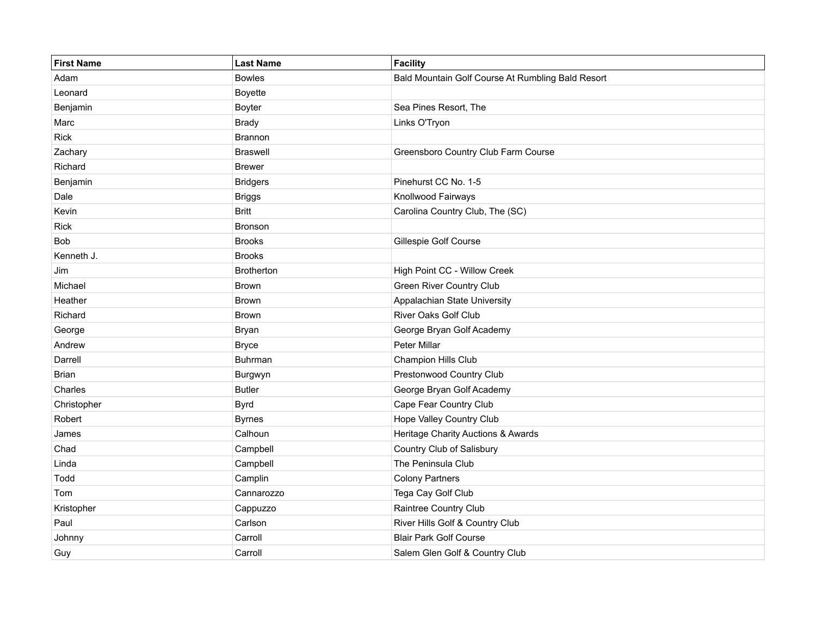| <b>First Name</b> | <b>Last Name</b> | Facility                                          |
|-------------------|------------------|---------------------------------------------------|
| Adam              | <b>Bowles</b>    | Bald Mountain Golf Course At Rumbling Bald Resort |
| Leonard           | Boyette          |                                                   |
| Benjamin          | Boyter           | Sea Pines Resort, The                             |
| Marc              | <b>Brady</b>     | Links O'Tryon                                     |
| <b>Rick</b>       | Brannon          |                                                   |
| Zachary           | <b>Braswell</b>  | Greensboro Country Club Farm Course               |
| Richard           | <b>Brewer</b>    |                                                   |
| Benjamin          | <b>Bridgers</b>  | Pinehurst CC No. 1-5                              |
| Dale              | <b>Briggs</b>    | Knollwood Fairways                                |
| Kevin             | <b>Britt</b>     | Carolina Country Club, The (SC)                   |
| <b>Rick</b>       | Bronson          |                                                   |
| Bob               | <b>Brooks</b>    | Gillespie Golf Course                             |
| Kenneth J.        | <b>Brooks</b>    |                                                   |
| Jim               | Brotherton       | High Point CC - Willow Creek                      |
| Michael           | Brown            | <b>Green River Country Club</b>                   |
| Heather           | Brown            | Appalachian State University                      |
| Richard           | Brown            | River Oaks Golf Club                              |
| George            | Bryan            | George Bryan Golf Academy                         |
| Andrew            | <b>Bryce</b>     | Peter Millar                                      |
| Darrell           | Buhrman          | Champion Hills Club                               |
| <b>Brian</b>      | Burgwyn          | Prestonwood Country Club                          |
| Charles           | <b>Butler</b>    | George Bryan Golf Academy                         |
| Christopher       | <b>Byrd</b>      | Cape Fear Country Club                            |
| Robert            | <b>Byrnes</b>    | Hope Valley Country Club                          |
| James             | Calhoun          | Heritage Charity Auctions & Awards                |
| Chad              | Campbell         | Country Club of Salisbury                         |
| Linda             | Campbell         | The Peninsula Club                                |
| Todd              | Camplin          | <b>Colony Partners</b>                            |
| Tom               | Cannarozzo       | Tega Cay Golf Club                                |
| Kristopher        | Cappuzzo         | Raintree Country Club                             |
| Paul              | Carlson          | River Hills Golf & Country Club                   |
| Johnny            | Carroll          | <b>Blair Park Golf Course</b>                     |
| Guy               | Carroll          | Salem Glen Golf & Country Club                    |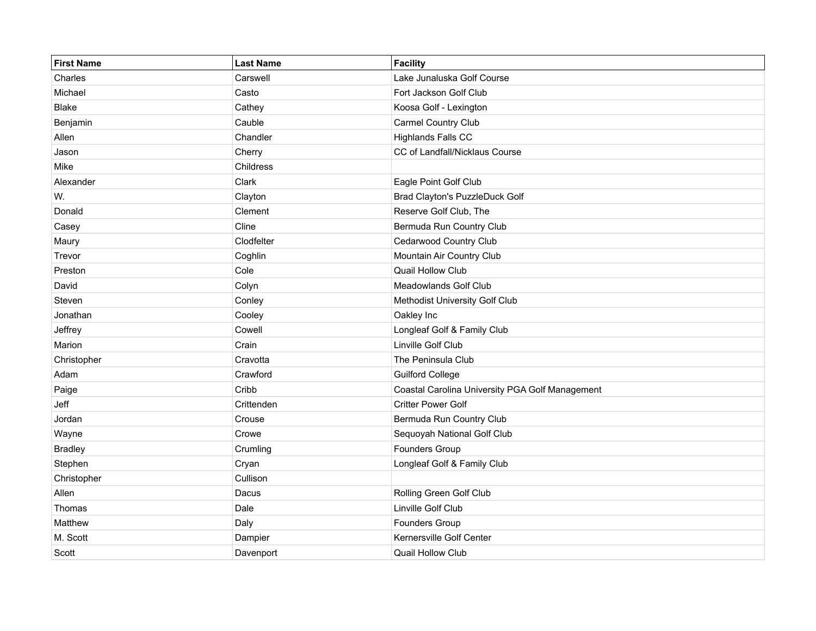| <b>First Name</b> | <b>Last Name</b> | Facility                                        |
|-------------------|------------------|-------------------------------------------------|
| Charles           | Carswell         | Lake Junaluska Golf Course                      |
| Michael           | Casto            | Fort Jackson Golf Club                          |
| <b>Blake</b>      | Cathey           | Koosa Golf - Lexington                          |
| Benjamin          | Cauble           | Carmel Country Club                             |
| Allen             | Chandler         | <b>Highlands Falls CC</b>                       |
| Jason             | Cherry           | CC of Landfall/Nicklaus Course                  |
| Mike              | Childress        |                                                 |
| Alexander         | Clark            | Eagle Point Golf Club                           |
| W.                | Clayton          | <b>Brad Clayton's PuzzleDuck Golf</b>           |
| Donald            | Clement          | Reserve Golf Club, The                          |
| Casey             | Cline            | Bermuda Run Country Club                        |
| Maury             | Clodfelter       | Cedarwood Country Club                          |
| Trevor            | Coghlin          | Mountain Air Country Club                       |
| Preston           | Cole             | <b>Quail Hollow Club</b>                        |
| David             | Colyn            | <b>Meadowlands Golf Club</b>                    |
| Steven            | Conley           | Methodist University Golf Club                  |
| Jonathan          | Cooley           | Oakley Inc                                      |
| Jeffrey           | Cowell           | Longleaf Golf & Family Club                     |
| Marion            | Crain            | Linville Golf Club                              |
| Christopher       | Cravotta         | The Peninsula Club                              |
| Adam              | Crawford         | <b>Guilford College</b>                         |
| Paige             | Cribb            | Coastal Carolina University PGA Golf Management |
| Jeff              | Crittenden       | <b>Critter Power Golf</b>                       |
| Jordan            | Crouse           | Bermuda Run Country Club                        |
| Wayne             | Crowe            | Sequoyah National Golf Club                     |
| <b>Bradley</b>    | Crumling         | Founders Group                                  |
| Stephen           | Cryan            | Longleaf Golf & Family Club                     |
| Christopher       | Cullison         |                                                 |
| Allen             | Dacus            | Rolling Green Golf Club                         |
| Thomas            | Dale             | Linville Golf Club                              |
| Matthew           | Daly             | Founders Group                                  |
| M. Scott          | Dampier          | Kernersville Golf Center                        |
| Scott             | Davenport        | Quail Hollow Club                               |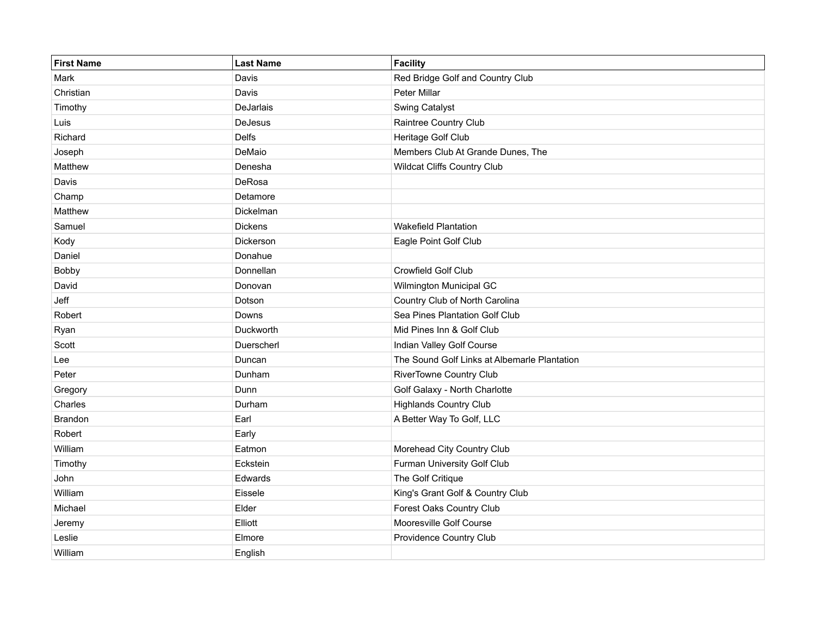| <b>First Name</b> | <b>Last Name</b> | Facility                                     |
|-------------------|------------------|----------------------------------------------|
| Mark              | Davis            | Red Bridge Golf and Country Club             |
| Christian         | Davis            | Peter Millar                                 |
| Timothy           | DeJarlais        | Swing Catalyst                               |
| Luis              | <b>DeJesus</b>   | Raintree Country Club                        |
| Richard           | <b>Delfs</b>     | Heritage Golf Club                           |
| Joseph            | DeMaio           | Members Club At Grande Dunes, The            |
| Matthew           | Denesha          | Wildcat Cliffs Country Club                  |
| Davis             | DeRosa           |                                              |
| Champ             | Detamore         |                                              |
| Matthew           | Dickelman        |                                              |
| Samuel            | <b>Dickens</b>   | <b>Wakefield Plantation</b>                  |
| Kody              | Dickerson        | Eagle Point Golf Club                        |
| Daniel            | Donahue          |                                              |
| Bobby             | Donnellan        | Crowfield Golf Club                          |
| David             | Donovan          | Wilmington Municipal GC                      |
| Jeff              | Dotson           | Country Club of North Carolina               |
| Robert            | Downs            | Sea Pines Plantation Golf Club               |
| Ryan              | Duckworth        | Mid Pines Inn & Golf Club                    |
| Scott             | Duerscherl       | Indian Valley Golf Course                    |
| Lee               | Duncan           | The Sound Golf Links at Albemarle Plantation |
| Peter             | Dunham           | <b>RiverTowne Country Club</b>               |
| Gregory           | Dunn             | Golf Galaxy - North Charlotte                |
| Charles           | Durham           | <b>Highlands Country Club</b>                |
| <b>Brandon</b>    | Earl             | A Better Way To Golf, LLC                    |
| Robert            | Early            |                                              |
| William           | Eatmon           | Morehead City Country Club                   |
| Timothy           | Eckstein         | Furman University Golf Club                  |
| John              | Edwards          | The Golf Critique                            |
| William           | Eissele          | King's Grant Golf & Country Club             |
| Michael           | Elder            | Forest Oaks Country Club                     |
| Jeremy            | Elliott          | Mooresville Golf Course                      |
| Leslie            | Elmore           | Providence Country Club                      |
| William           | English          |                                              |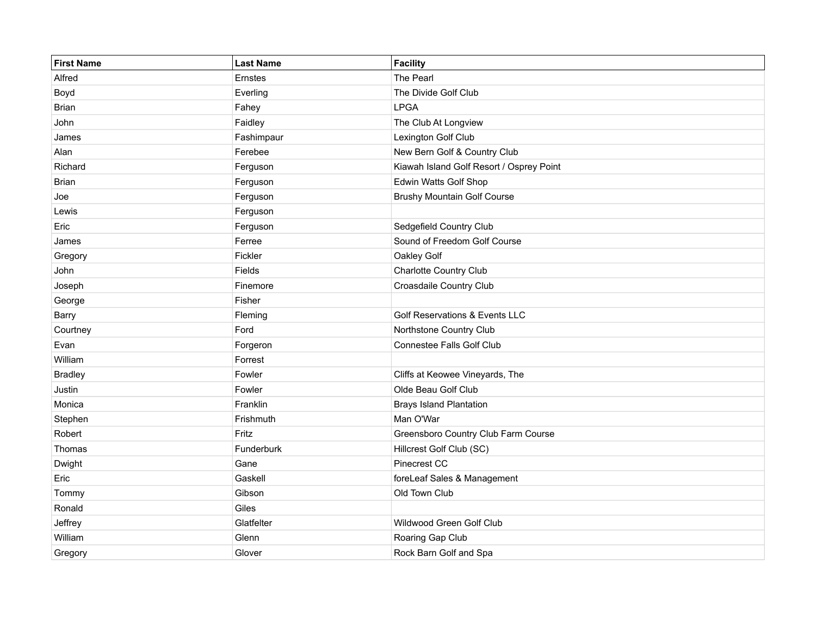| <b>First Name</b> | <b>Last Name</b> | Facility                                  |
|-------------------|------------------|-------------------------------------------|
| Alfred            | Ernstes          | The Pearl                                 |
| Boyd              | Everling         | The Divide Golf Club                      |
| <b>Brian</b>      | Fahey            | <b>LPGA</b>                               |
| John              | Faidley          | The Club At Longview                      |
| James             | Fashimpaur       | Lexington Golf Club                       |
| Alan              | Ferebee          | New Bern Golf & Country Club              |
| Richard           | Ferguson         | Kiawah Island Golf Resort / Osprey Point  |
| Brian             | Ferguson         | Edwin Watts Golf Shop                     |
| Joe               | Ferguson         | <b>Brushy Mountain Golf Course</b>        |
| Lewis             | Ferguson         |                                           |
| Eric              | Ferguson         | Sedgefield Country Club                   |
| James             | Ferree           | Sound of Freedom Golf Course              |
| Gregory           | Fickler          | Oakley Golf                               |
| John              | Fields           | <b>Charlotte Country Club</b>             |
| Joseph            | Finemore         | Croasdaile Country Club                   |
| George            | Fisher           |                                           |
| <b>Barry</b>      | Fleming          | <b>Golf Reservations &amp; Events LLC</b> |
| Courtney          | Ford             | Northstone Country Club                   |
| Evan              | Forgeron         | Connestee Falls Golf Club                 |
| William           | Forrest          |                                           |
| <b>Bradley</b>    | Fowler           | Cliffs at Keowee Vineyards, The           |
| Justin            | Fowler           | Olde Beau Golf Club                       |
| Monica            | Franklin         | <b>Brays Island Plantation</b>            |
| Stephen           | Frishmuth        | Man O'War                                 |
| Robert            | Fritz            | Greensboro Country Club Farm Course       |
| Thomas            | Funderburk       | Hillcrest Golf Club (SC)                  |
| Dwight            | Gane             | Pinecrest CC                              |
| Eric              | Gaskell          | foreLeaf Sales & Management               |
| Tommy             | Gibson           | Old Town Club                             |
| Ronald            | Giles            |                                           |
| Jeffrey           | Glatfelter       | Wildwood Green Golf Club                  |
| William           | Glenn            | Roaring Gap Club                          |
| Gregory           | Glover           | Rock Barn Golf and Spa                    |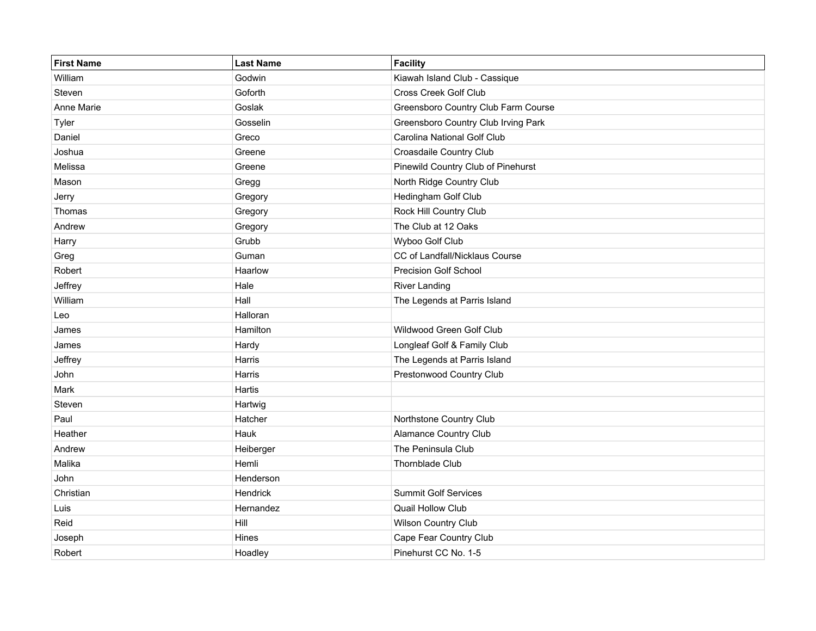| <b>First Name</b> | <b>Last Name</b> | Facility                            |
|-------------------|------------------|-------------------------------------|
| William           | Godwin           | Kiawah Island Club - Cassique       |
| Steven            | Goforth          | Cross Creek Golf Club               |
| Anne Marie        | Goslak           | Greensboro Country Club Farm Course |
| Tyler             | Gosselin         | Greensboro Country Club Irving Park |
| Daniel            | Greco            | Carolina National Golf Club         |
| Joshua            | Greene           | Croasdaile Country Club             |
| Melissa           | Greene           | Pinewild Country Club of Pinehurst  |
| Mason             | Gregg            | North Ridge Country Club            |
| Jerry             | Gregory          | Hedingham Golf Club                 |
| Thomas            | Gregory          | Rock Hill Country Club              |
| Andrew            | Gregory          | The Club at 12 Oaks                 |
| Harry             | Grubb            | Wyboo Golf Club                     |
| Greg              | Guman            | CC of Landfall/Nicklaus Course      |
| Robert            | Haarlow          | Precision Golf School               |
| Jeffrey           | Hale             | <b>River Landing</b>                |
| William           | Hall             | The Legends at Parris Island        |
| Leo               | Halloran         |                                     |
| James             | Hamilton         | Wildwood Green Golf Club            |
| James             | Hardy            | Longleaf Golf & Family Club         |
| Jeffrey           | Harris           | The Legends at Parris Island        |
| John              | Harris           | Prestonwood Country Club            |
| Mark              | Hartis           |                                     |
| Steven            | Hartwig          |                                     |
| Paul              | Hatcher          | Northstone Country Club             |
| Heather           | Hauk             | <b>Alamance Country Club</b>        |
| Andrew            | Heiberger        | The Peninsula Club                  |
| Malika            | Hemli            | Thornblade Club                     |
| John              | Henderson        |                                     |
| Christian         | Hendrick         | <b>Summit Golf Services</b>         |
| Luis              | Hernandez        | Quail Hollow Club                   |
| Reid              | Hill             | Wilson Country Club                 |
| Joseph            | Hines            | Cape Fear Country Club              |
| Robert            | Hoadley          | Pinehurst CC No. 1-5                |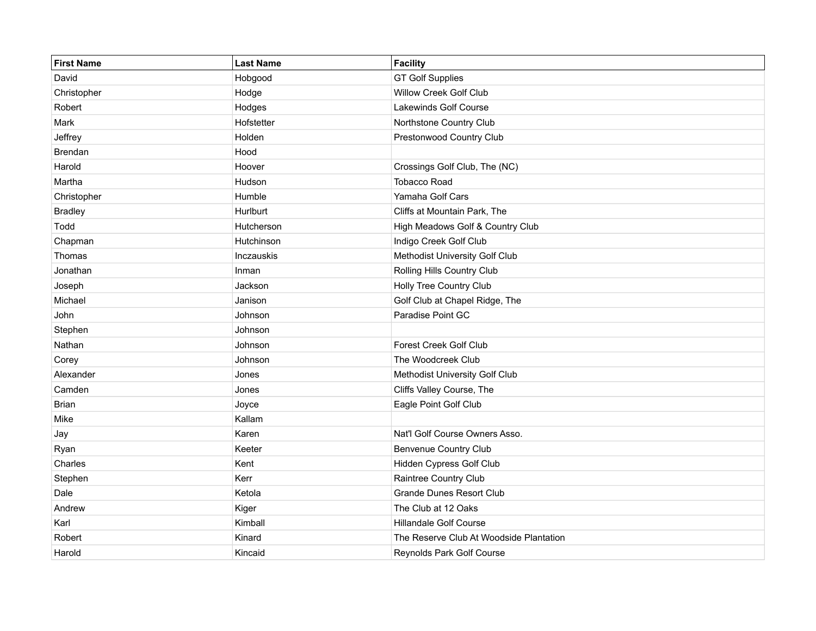| <b>First Name</b> | <b>Last Name</b> | Facility                                |
|-------------------|------------------|-----------------------------------------|
| David             | Hobgood          | <b>GT Golf Supplies</b>                 |
| Christopher       | Hodge            | Willow Creek Golf Club                  |
| Robert            | Hodges           | Lakewinds Golf Course                   |
| Mark              | Hofstetter       | Northstone Country Club                 |
| Jeffrey           | Holden           | Prestonwood Country Club                |
| <b>Brendan</b>    | Hood             |                                         |
| Harold            | Hoover           | Crossings Golf Club, The (NC)           |
| Martha            | Hudson           | <b>Tobacco Road</b>                     |
| Christopher       | Humble           | Yamaha Golf Cars                        |
| <b>Bradley</b>    | Hurlburt         | Cliffs at Mountain Park, The            |
| Todd              | Hutcherson       | High Meadows Golf & Country Club        |
| Chapman           | Hutchinson       | Indigo Creek Golf Club                  |
| Thomas            | Inczauskis       | Methodist University Golf Club          |
| Jonathan          | Inman            | Rolling Hills Country Club              |
| Joseph            | Jackson          | Holly Tree Country Club                 |
| Michael           | Janison          | Golf Club at Chapel Ridge, The          |
| John              | Johnson          | Paradise Point GC                       |
| Stephen           | Johnson          |                                         |
| Nathan            | Johnson          | Forest Creek Golf Club                  |
| Corey             | Johnson          | The Woodcreek Club                      |
| Alexander         | Jones            | Methodist University Golf Club          |
| Camden            | Jones            | Cliffs Valley Course, The               |
| <b>Brian</b>      | Joyce            | Eagle Point Golf Club                   |
| Mike              | Kallam           |                                         |
| Jay               | Karen            | Nat'l Golf Course Owners Asso.          |
| Ryan              | Keeter           | <b>Benvenue Country Club</b>            |
| Charles           | Kent             | Hidden Cypress Golf Club                |
| Stephen           | Kerr             | Raintree Country Club                   |
| Dale              | Ketola           | <b>Grande Dunes Resort Club</b>         |
| Andrew            | Kiger            | The Club at 12 Oaks                     |
| Karl              | Kimball          | <b>Hillandale Golf Course</b>           |
| Robert            | Kinard           | The Reserve Club At Woodside Plantation |
| Harold            | Kincaid          | Reynolds Park Golf Course               |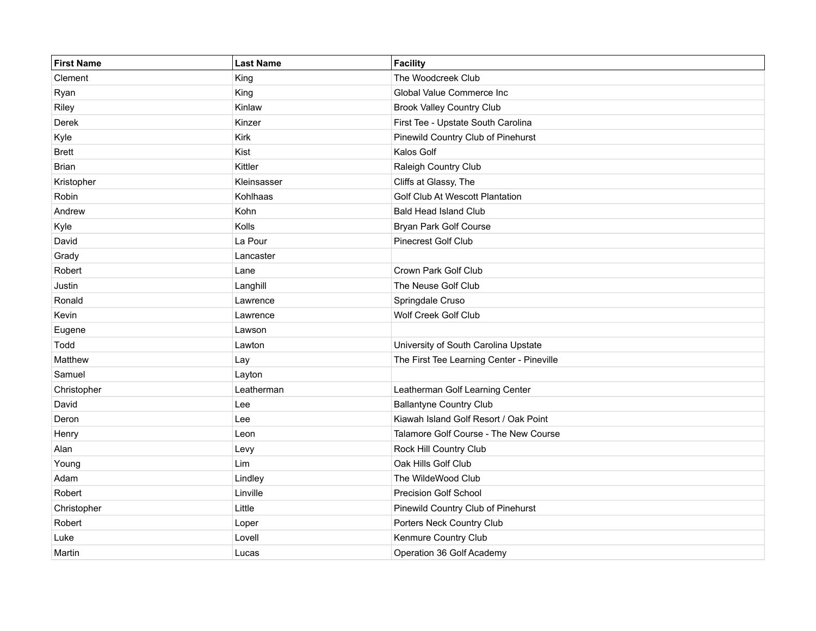| <b>First Name</b> | <b>Last Name</b> | Facility                                  |
|-------------------|------------------|-------------------------------------------|
| Clement           | King             | The Woodcreek Club                        |
| Ryan              | King             | Global Value Commerce Inc                 |
| Riley             | Kinlaw           | <b>Brook Valley Country Club</b>          |
| Derek             | Kinzer           | First Tee - Upstate South Carolina        |
| Kyle              | Kirk             | Pinewild Country Club of Pinehurst        |
| <b>Brett</b>      | Kist             | Kalos Golf                                |
| <b>Brian</b>      | Kittler          | Raleigh Country Club                      |
| Kristopher        | Kleinsasser      | Cliffs at Glassy, The                     |
| Robin             | Kohlhaas         | Golf Club At Wescott Plantation           |
| Andrew            | Kohn             | <b>Bald Head Island Club</b>              |
| Kyle              | Kolls            | Bryan Park Golf Course                    |
| David             | La Pour          | Pinecrest Golf Club                       |
| Grady             | Lancaster        |                                           |
| Robert            | Lane             | Crown Park Golf Club                      |
| Justin            | Langhill         | The Neuse Golf Club                       |
| Ronald            | Lawrence         | Springdale Cruso                          |
| Kevin             | Lawrence         | Wolf Creek Golf Club                      |
| Eugene            | Lawson           |                                           |
| Todd              | Lawton           | University of South Carolina Upstate      |
| Matthew           | Lay              | The First Tee Learning Center - Pineville |
| Samuel            | Layton           |                                           |
| Christopher       | Leatherman       | Leatherman Golf Learning Center           |
| David             | Lee              | <b>Ballantyne Country Club</b>            |
| Deron             | Lee              | Kiawah Island Golf Resort / Oak Point     |
| Henry             | Leon             | Talamore Golf Course - The New Course     |
| Alan              | Levy             | Rock Hill Country Club                    |
| Young             | Lim              | Oak Hills Golf Club                       |
| Adam              | Lindley          | The WildeWood Club                        |
| Robert            | Linville         | Precision Golf School                     |
| Christopher       | Little           | Pinewild Country Club of Pinehurst        |
| Robert            | Loper            | Porters Neck Country Club                 |
| Luke              | Lovell           | Kenmure Country Club                      |
| Martin            | Lucas            | Operation 36 Golf Academy                 |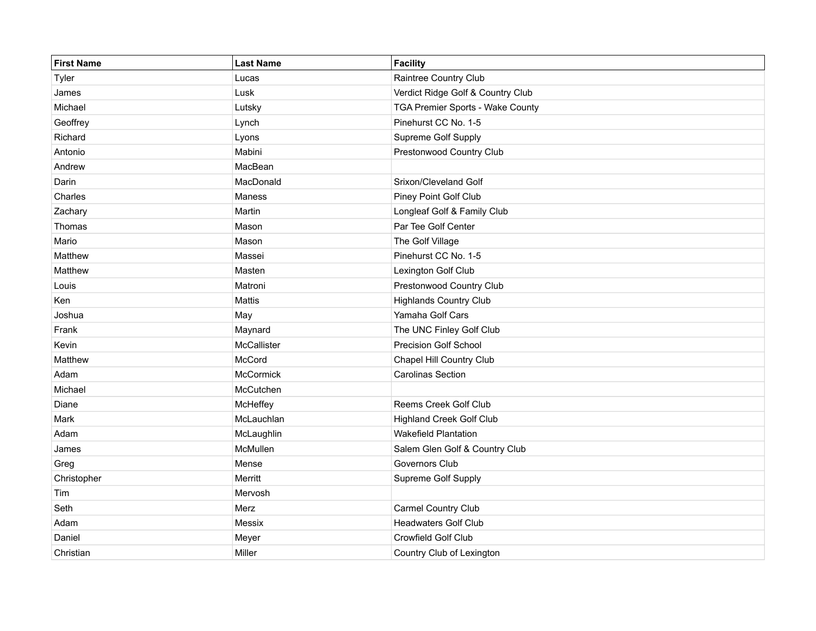| <b>First Name</b> | <b>Last Name</b> | Facility                          |
|-------------------|------------------|-----------------------------------|
| Tyler             | Lucas            | Raintree Country Club             |
| James             | Lusk             | Verdict Ridge Golf & Country Club |
| Michael           | Lutsky           | TGA Premier Sports - Wake County  |
| Geoffrey          | Lynch            | Pinehurst CC No. 1-5              |
| Richard           | Lyons            | Supreme Golf Supply               |
| Antonio           | Mabini           | Prestonwood Country Club          |
| Andrew            | MacBean          |                                   |
| Darin             | MacDonald        | Srixon/Cleveland Golf             |
| Charles           | Maness           | Piney Point Golf Club             |
| Zachary           | Martin           | Longleaf Golf & Family Club       |
| Thomas            | Mason            | Par Tee Golf Center               |
| Mario             | Mason            | The Golf Village                  |
| Matthew           | Massei           | Pinehurst CC No. 1-5              |
| Matthew           | Masten           | Lexington Golf Club               |
| Louis             | Matroni          | Prestonwood Country Club          |
| Ken               | Mattis           | <b>Highlands Country Club</b>     |
| Joshua            | May              | Yamaha Golf Cars                  |
| Frank             | Maynard          | The UNC Finley Golf Club          |
| Kevin             | McCallister      | Precision Golf School             |
| Matthew           | McCord           | Chapel Hill Country Club          |
| Adam              | McCormick        | <b>Carolinas Section</b>          |
| Michael           | McCutchen        |                                   |
| Diane             | McHeffey         | Reems Creek Golf Club             |
| Mark              | McLauchlan       | <b>Highland Creek Golf Club</b>   |
| Adam              | McLaughlin       | <b>Wakefield Plantation</b>       |
| James             | McMullen         | Salem Glen Golf & Country Club    |
| Greg              | Mense            | Governors Club                    |
| Christopher       | Merritt          | Supreme Golf Supply               |
| Tim               | Mervosh          |                                   |
| Seth              | Merz             | Carmel Country Club               |
| Adam              | Messix           | <b>Headwaters Golf Club</b>       |
| Daniel            | Meyer            | Crowfield Golf Club               |
| Christian         | Miller           | Country Club of Lexington         |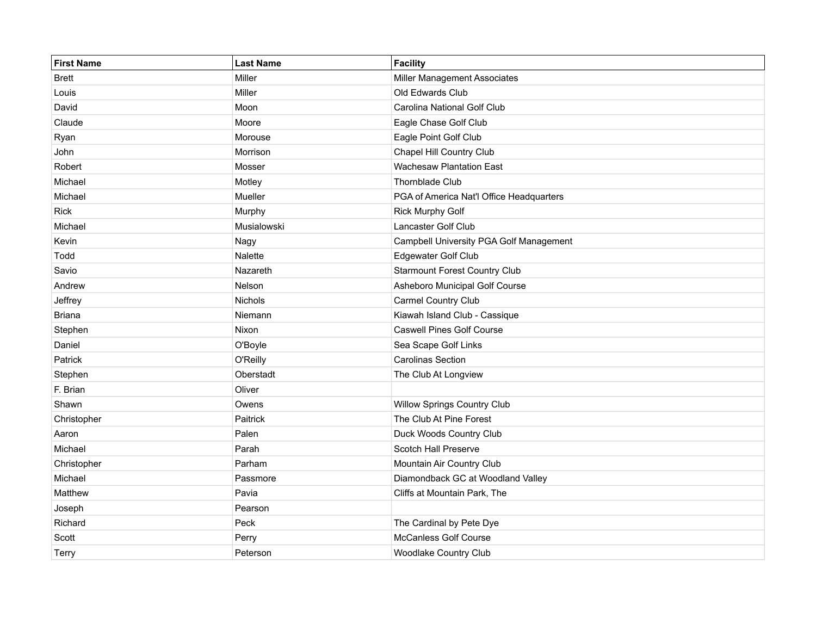| <b>First Name</b> | <b>Last Name</b> | Facility                                 |
|-------------------|------------------|------------------------------------------|
| <b>Brett</b>      | Miller           | Miller Management Associates             |
| Louis             | Miller           | Old Edwards Club                         |
| David             | Moon             | Carolina National Golf Club              |
| Claude            | Moore            | Eagle Chase Golf Club                    |
| Ryan              | Morouse          | Eagle Point Golf Club                    |
| John              | Morrison         | Chapel Hill Country Club                 |
| Robert            | Mosser           | <b>Wachesaw Plantation East</b>          |
| Michael           | Motley           | <b>Thornblade Club</b>                   |
| Michael           | Mueller          | PGA of America Nat'l Office Headquarters |
| <b>Rick</b>       | Murphy           | <b>Rick Murphy Golf</b>                  |
| Michael           | Musialowski      | <b>Lancaster Golf Club</b>               |
| Kevin             | Nagy             | Campbell University PGA Golf Management  |
| Todd              | Nalette          | Edgewater Golf Club                      |
| Savio             | Nazareth         | <b>Starmount Forest Country Club</b>     |
| Andrew            | Nelson           | Asheboro Municipal Golf Course           |
| Jeffrey           | Nichols          | Carmel Country Club                      |
| <b>Briana</b>     | Niemann          | Kiawah Island Club - Cassique            |
| Stephen           | Nixon            | <b>Caswell Pines Golf Course</b>         |
| Daniel            | O'Boyle          | Sea Scape Golf Links                     |
| Patrick           | O'Reilly         | <b>Carolinas Section</b>                 |
| Stephen           | Oberstadt        | The Club At Longview                     |
| F. Brian          | Oliver           |                                          |
| Shawn             | Owens            | Willow Springs Country Club              |
| Christopher       | Paitrick         | The Club At Pine Forest                  |
| Aaron             | Palen            | Duck Woods Country Club                  |
| Michael           | Parah            | Scotch Hall Preserve                     |
| Christopher       | Parham           | Mountain Air Country Club                |
| Michael           | Passmore         | Diamondback GC at Woodland Valley        |
| Matthew           | Pavia            | Cliffs at Mountain Park, The             |
| Joseph            | Pearson          |                                          |
| Richard           | Peck             | The Cardinal by Pete Dye                 |
| Scott             | Perry            | McCanless Golf Course                    |
| Terry             | Peterson         | Woodlake Country Club                    |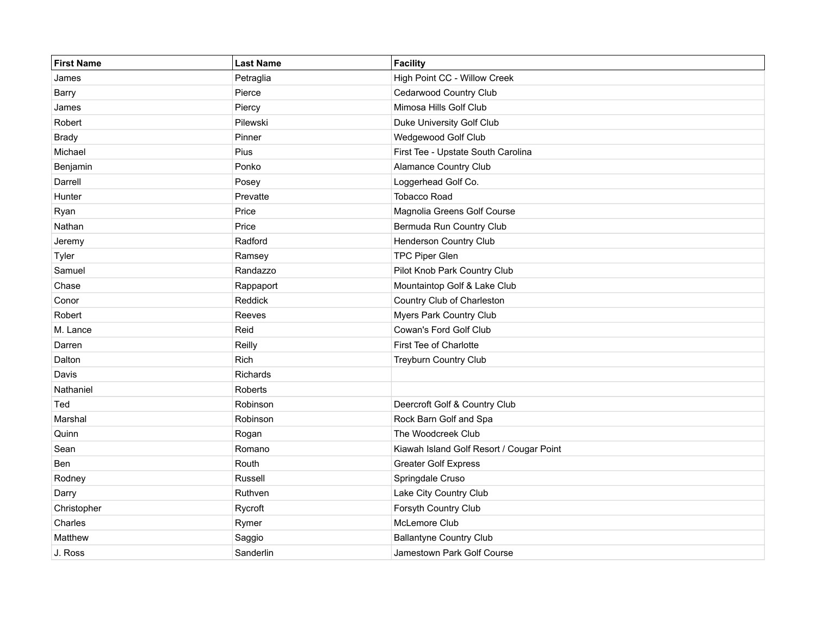| First Name   | <b>Last Name</b> | Facility                                 |
|--------------|------------------|------------------------------------------|
| James        | Petraglia        | High Point CC - Willow Creek             |
| Barry        | Pierce           | Cedarwood Country Club                   |
| James        | Piercy           | Mimosa Hills Golf Club                   |
| Robert       | Pilewski         | Duke University Golf Club                |
| <b>Brady</b> | Pinner           | Wedgewood Golf Club                      |
| Michael      | Pius             | First Tee - Upstate South Carolina       |
| Benjamin     | Ponko            | Alamance Country Club                    |
| Darrell      | Posey            | Loggerhead Golf Co.                      |
| Hunter       | Prevatte         | <b>Tobacco Road</b>                      |
| Ryan         | Price            | Magnolia Greens Golf Course              |
| Nathan       | Price            | Bermuda Run Country Club                 |
| Jeremy       | Radford          | <b>Henderson Country Club</b>            |
| Tyler        | Ramsey           | <b>TPC Piper Glen</b>                    |
| Samuel       | Randazzo         | Pilot Knob Park Country Club             |
| Chase        | Rappaport        | Mountaintop Golf & Lake Club             |
| Conor        | Reddick          | Country Club of Charleston               |
| Robert       | Reeves           | Myers Park Country Club                  |
| M. Lance     | Reid             | Cowan's Ford Golf Club                   |
| Darren       | Reilly           | First Tee of Charlotte                   |
| Dalton       | Rich             | <b>Treyburn Country Club</b>             |
| Davis        | Richards         |                                          |
| Nathaniel    | Roberts          |                                          |
| Ted          | Robinson         | Deercroft Golf & Country Club            |
| Marshal      | Robinson         | Rock Barn Golf and Spa                   |
| Quinn        | Rogan            | The Woodcreek Club                       |
| Sean         | Romano           | Kiawah Island Golf Resort / Cougar Point |
| Ben          | Routh            | <b>Greater Golf Express</b>              |
| Rodney       | Russell          | Springdale Cruso                         |
| Darry        | Ruthven          | Lake City Country Club                   |
| Christopher  | Rycroft          | Forsyth Country Club                     |
| Charles      | Rymer            | McLemore Club                            |
| Matthew      | Saggio           | <b>Ballantyne Country Club</b>           |
| J. Ross      | Sanderlin        | Jamestown Park Golf Course               |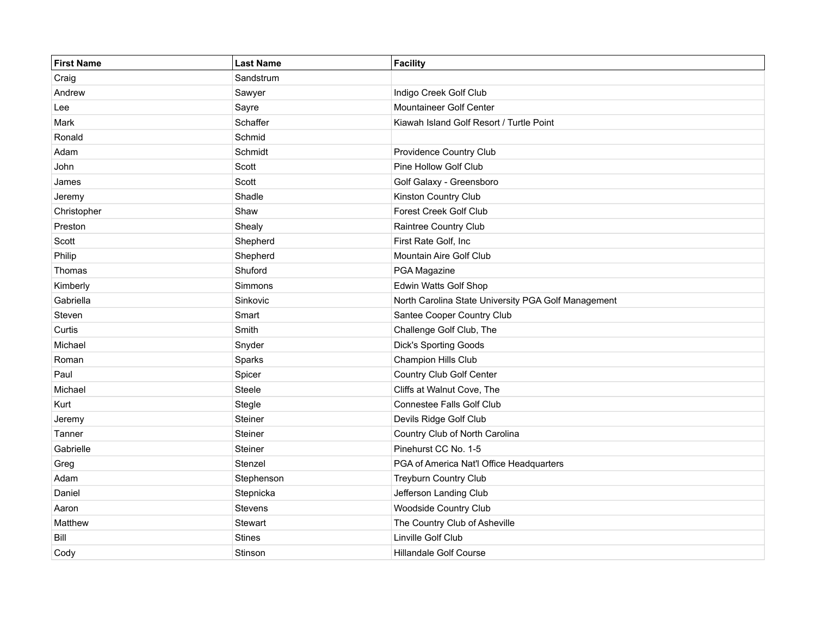| <b>First Name</b> | <b>Last Name</b> | Facility                                            |
|-------------------|------------------|-----------------------------------------------------|
| Craig             | Sandstrum        |                                                     |
| Andrew            | Sawyer           | Indigo Creek Golf Club                              |
| Lee               | Sayre            | <b>Mountaineer Golf Center</b>                      |
| Mark              | Schaffer         | Kiawah Island Golf Resort / Turtle Point            |
| Ronald            | Schmid           |                                                     |
| Adam              | Schmidt          | Providence Country Club                             |
| John              | Scott            | Pine Hollow Golf Club                               |
| James             | Scott            | Golf Galaxy - Greensboro                            |
| Jeremy            | Shadle           | Kinston Country Club                                |
| Christopher       | Shaw             | Forest Creek Golf Club                              |
| Preston           | Shealy           | Raintree Country Club                               |
| Scott             | Shepherd         | First Rate Golf, Inc                                |
| Philip            | Shepherd         | <b>Mountain Aire Golf Club</b>                      |
| Thomas            | Shuford          | PGA Magazine                                        |
| Kimberly          | Simmons          | Edwin Watts Golf Shop                               |
| Gabriella         | Sinkovic         | North Carolina State University PGA Golf Management |
| Steven            | Smart            | Santee Cooper Country Club                          |
| Curtis            | Smith            | Challenge Golf Club, The                            |
| Michael           | Snyder           | Dick's Sporting Goods                               |
| Roman             | Sparks           | Champion Hills Club                                 |
| Paul              | Spicer           | Country Club Golf Center                            |
| Michael           | Steele           | Cliffs at Walnut Cove, The                          |
| Kurt              | Stegle           | <b>Connestee Falls Golf Club</b>                    |
| Jeremy            | Steiner          | Devils Ridge Golf Club                              |
| Tanner            | Steiner          | Country Club of North Carolina                      |
| Gabrielle         | Steiner          | Pinehurst CC No. 1-5                                |
| Greg              | Stenzel          | PGA of America Nat'l Office Headquarters            |
| Adam              | Stephenson       | Treyburn Country Club                               |
| Daniel            | Stepnicka        | Jefferson Landing Club                              |
| Aaron             | Stevens          | Woodside Country Club                               |
| Matthew           | Stewart          | The Country Club of Asheville                       |
| Bill              | <b>Stines</b>    | Linville Golf Club                                  |
| Cody              | Stinson          | <b>Hillandale Golf Course</b>                       |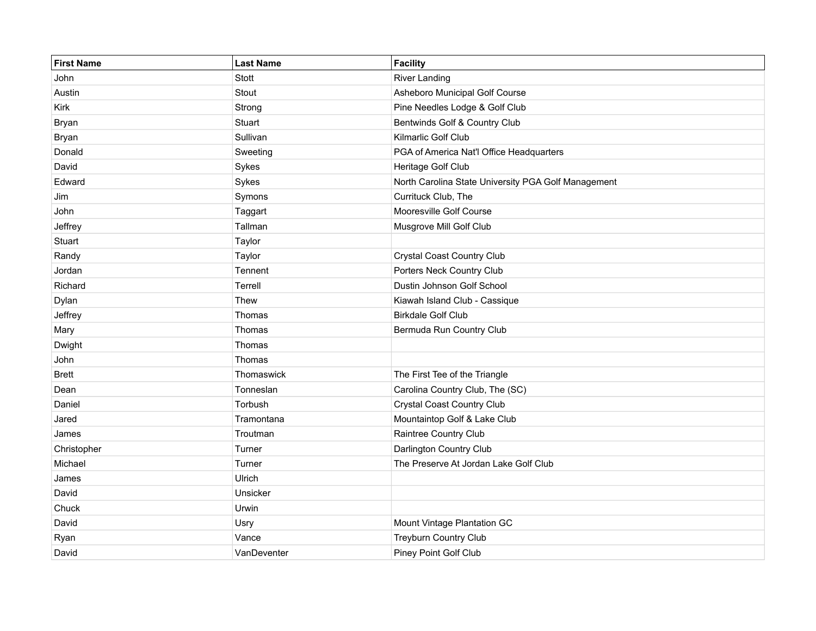| <b>First Name</b> | <b>Last Name</b> | Facility                                            |
|-------------------|------------------|-----------------------------------------------------|
| John              | Stott            | <b>River Landing</b>                                |
| Austin            | Stout            | Asheboro Municipal Golf Course                      |
| Kirk              | Strong           | Pine Needles Lodge & Golf Club                      |
| Bryan             | Stuart           | Bentwinds Golf & Country Club                       |
| Bryan             | Sullivan         | Kilmarlic Golf Club                                 |
| Donald            | Sweeting         | PGA of America Nat'l Office Headquarters            |
| David             | Sykes            | Heritage Golf Club                                  |
| Edward            | Sykes            | North Carolina State University PGA Golf Management |
| Jim               | Symons           | Currituck Club, The                                 |
| John              | Taggart          | Mooresville Golf Course                             |
| Jeffrey           | Tallman          | Musgrove Mill Golf Club                             |
| Stuart            | Taylor           |                                                     |
| Randy             | Taylor           | Crystal Coast Country Club                          |
| Jordan            | Tennent          | Porters Neck Country Club                           |
| Richard           | Terrell          | Dustin Johnson Golf School                          |
| Dylan             | Thew             | Kiawah Island Club - Cassique                       |
| Jeffrey           | Thomas           | <b>Birkdale Golf Club</b>                           |
| Mary              | Thomas           | Bermuda Run Country Club                            |
| Dwight            | Thomas           |                                                     |
| John              | Thomas           |                                                     |
| <b>Brett</b>      | Thomaswick       | The First Tee of the Triangle                       |
| Dean              | Tonneslan        | Carolina Country Club, The (SC)                     |
| Daniel            | Torbush          | Crystal Coast Country Club                          |
| Jared             | Tramontana       | Mountaintop Golf & Lake Club                        |
| James             | Troutman         | Raintree Country Club                               |
| Christopher       | Turner           | Darlington Country Club                             |
| Michael           | Turner           | The Preserve At Jordan Lake Golf Club               |
| James             | Ulrich           |                                                     |
| David             | Unsicker         |                                                     |
| Chuck             | Urwin            |                                                     |
| David             | Usry             | Mount Vintage Plantation GC                         |
| Ryan              | Vance            | <b>Treyburn Country Club</b>                        |
| David             | VanDeventer      | Piney Point Golf Club                               |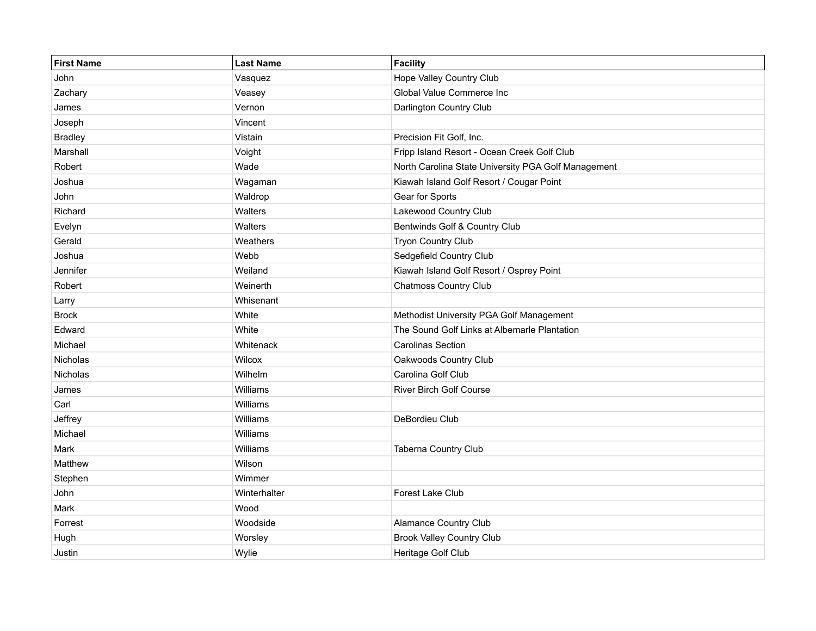| <b>First Name</b> | <b>Last Name</b> | Facility                                            |
|-------------------|------------------|-----------------------------------------------------|
| John              | Vasquez          | Hope Valley Country Club                            |
| Zachary           | Veasey           | Global Value Commerce Inc                           |
| James             | Vernon           | Darlington Country Club                             |
| Joseph            | Vincent          |                                                     |
| <b>Bradley</b>    | Vistain          | Precision Fit Golf, Inc.                            |
| Marshall          | Voight           | Fripp Island Resort - Ocean Creek Golf Club         |
| Robert            | Wade             | North Carolina State University PGA Golf Management |
| Joshua            | Wagaman          | Kiawah Island Golf Resort / Cougar Point            |
| John              | Waldrop          | Gear for Sports                                     |
| Richard           | Walters          | Lakewood Country Club                               |
| Evelyn            | Walters          | Bentwinds Golf & Country Club                       |
| Gerald            | Weathers         | Tryon Country Club                                  |
| Joshua            | Webb             | Sedgefield Country Club                             |
| Jennifer          | Weiland          | Kiawah Island Golf Resort / Osprey Point            |
| Robert            | Weinerth         | <b>Chatmoss Country Club</b>                        |
| Larry             | Whisenant        |                                                     |
| <b>Brock</b>      | White            | Methodist University PGA Golf Management            |
| Edward            | White            | The Sound Golf Links at Albemarle Plantation        |
| Michael           | Whitenack        | <b>Carolinas Section</b>                            |
| Nicholas          | Wilcox           | Oakwoods Country Club                               |
| Nicholas          | Wilhelm          | Carolina Golf Club                                  |
| James             | Williams         | <b>River Birch Golf Course</b>                      |
| Carl              | Williams         |                                                     |
| Jeffrey           | Williams         | DeBordieu Club                                      |
| Michael           | Williams         |                                                     |
| Mark              | Williams         | Taberna Country Club                                |
| Matthew           | Wilson           |                                                     |
| Stephen           | Wimmer           |                                                     |
| John              | Winterhalter     | Forest Lake Club                                    |
| Mark              | Wood             |                                                     |
| Forrest           | Woodside         | Alamance Country Club                               |
| Hugh              | Worsley          | <b>Brook Valley Country Club</b>                    |
| Justin            | Wylie            | Heritage Golf Club                                  |